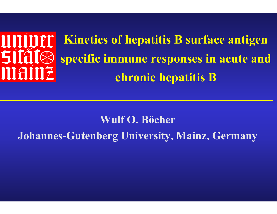# univer **Sítát®** mainz

**Kinetics of hepatitis B surface antigen specific immune responses in acute and chronic hepatitis B** 

#### **Wulf O. Böcher Johannes-Gutenberg University, Mainz, Germany**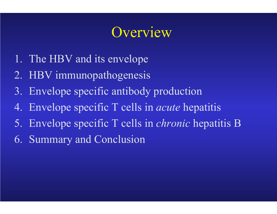## **Overview**

- 1. The HBV and its envelope
- 2. HBV immunopathogenesis
- 3. Envelope specific antibody production
- 4. Envelope specific T cells in *acute* hepatitis
- 5. Envelope specific T cells in *chronic* hepatitis B
- 6. Summary and Conclusion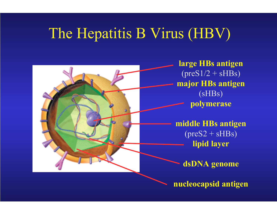## The Hepatitis B Virus (HBV)



**nucleocapsid antigen**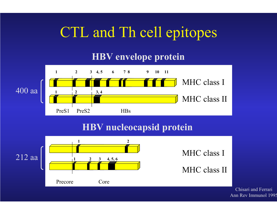# CTL and Th cell epitopes

#### **HBV envelope protein**



#### **HBV nucleocapsid protein**



Chisari and FerrariAnn Rev Immunol 199 5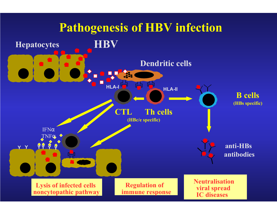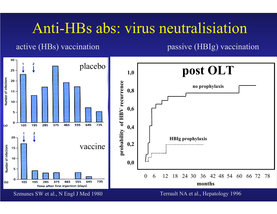#### Anti-HBs abs: virus neutralisiation

#### active (HBs) vaccination passive (HBIg) vaccination

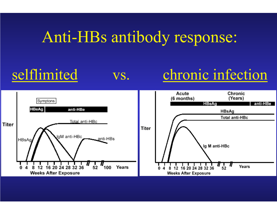# Anti-HBs antibody response:

## selflimited vs. chronic infection

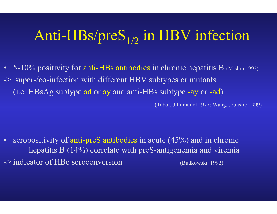# Anti-HBs/pre $\mathbf{S}_{1/2}$  in HBV infection

• 5-10% positivity for anti-HBs antibodies in chronic hepatitis B (Mishra, 1992) -> super-/co-infection with different HBV subtypes or mutants (i.e. HBsAg subtype ad or ay and anti-HBs subtype -ay or -ad)

(Tabor, J Immunol 1977; Wang, J Gastro 1999)

• seropositivity of anti-preS antibodies in acute (45%) and in chronic hepatitis B (14%) correlate with preS-antigenemia and viremia -> indicator of HBe seroconversion (Budkowski, 1992)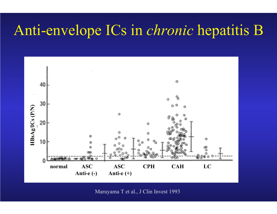### Anti-envelope ICs in *chronic* hepatitis B



Maruyama T et al., J Clin Invest 1993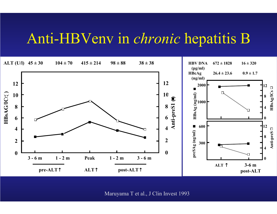#### Anti-HBVenv in *chronic* hepatitis B



Maruyama T et al., J Clin Invest 1993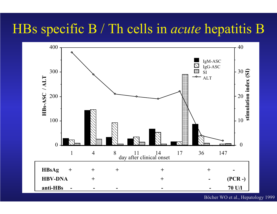#### HBs specific B / Th cells in *acute* hepatitis B



Böcher WO et al., Hepatology 1999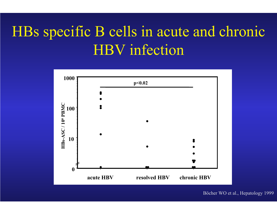# HBs specific B cells in acute and chronic HBV infection



Böcher WO et al., Hepatology 1999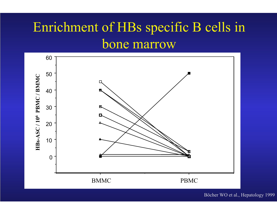#### Enrichment of HBs specific B cells in bone marrow



Böcher WO et al., Hepatology 1999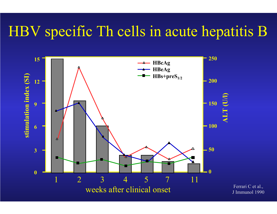# HBV specific Th cells in acute hepatitis B



Ferrari C et al., J Immunol 1990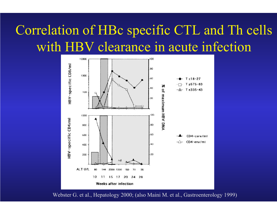#### Correlation of HBc specific CTL and Th cells with HBV clearance in acute infection



Webster G. et al., Hepatology 2000; (also Maini M. et al., Gastroenterology 1999)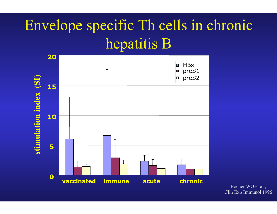# Envelope specific Th cells in chronic hepatitis B



Böcher W O et al., Clin Exp Immunol 1996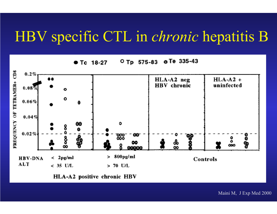#### HBV specific CTL in *chronic* hepatitis B

e Te 335-43  $O$  Tp 575-83 Tc 18-27



HLA-A2 positive chronic HBV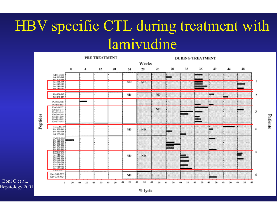# HBV specific CTL during treatment with lamivudine



Boni C et al., Hepatology 2001

#### Patients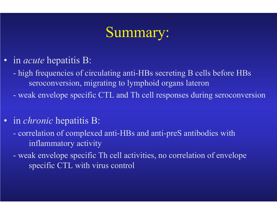## Summary:

- in *acute* hepatitis B:
	- high frequencies of circulating anti-HBs secreting B cells before HBs seroconversion, migrating to lymphoid organs lateron
	- weak envelope specific CTL and Th cell responses during seroconversion
- in *chronic* hepatitis B:
	- correlation of complexed anti-HBs and anti-preS antibodies with inflammatory activity
	- weak envelope specific Th cell activities, no correlation of envelope specific CTL with virus control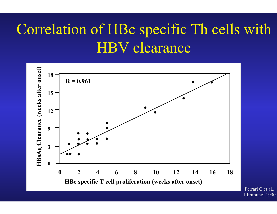# Correlation of HBc specific Th cells with HBV clearance



Ferrari C et al., J Immunol 1990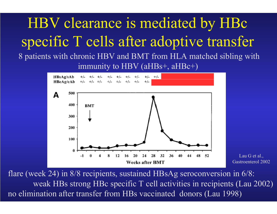# HBV clearance is mediated by HBc specific T cells after adoptive transfer

8 patients with chronic HBV and BMT from HLA matched sibling with immunity to HBV (aHBs+, aHBc+)

![](_page_20_Figure_2.jpeg)

Lau G et al., Gastroenterol 2002

flare (week 24) in 8/8 recipients, sustained HBsAg seroconversion in 6/8: weak HBs strong HBc specific T cell activities in recipients (Lau 2002) no elimination after transfer from HBs vaccinated donors (Lau 1998)